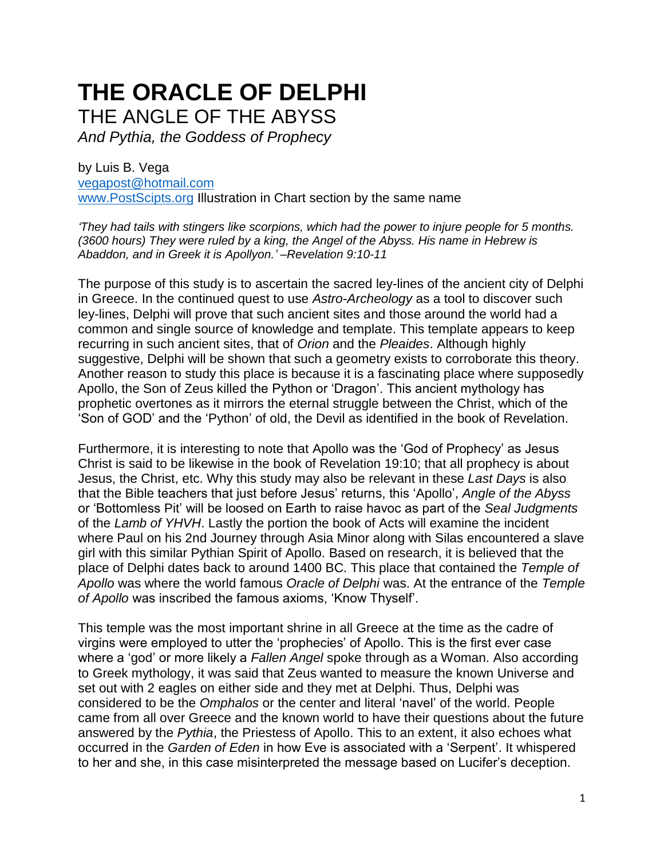## **THE ORACLE OF DELPHI** THE ANGLE OF THE ABYSS

*And Pythia, the Goddess of Prophecy*

by Luis B. Vega [vegapost@hotmail.com](mailto:vegapost@hotmail.com) [www.PostScipts.org](http://www.postscipts.org/) Illustration in Chart section by the same name

*'They had tails with stingers like scorpions, which had the power to injure people for 5 months. (3600 hours) They were ruled by a king, the Angel of the Abyss. His name in Hebrew is Abaddon, and in Greek it is Apollyon.' –Revelation 9:10-11*

The purpose of this study is to ascertain the sacred ley-lines of the ancient city of Delphi in Greece. In the continued quest to use *Astro-Archeology* as a tool to discover such ley-lines, Delphi will prove that such ancient sites and those around the world had a common and single source of knowledge and template. This template appears to keep recurring in such ancient sites, that of *Orion* and the *Pleaides*. Although highly suggestive, Delphi will be shown that such a geometry exists to corroborate this theory. Another reason to study this place is because it is a fascinating place where supposedly Apollo, the Son of Zeus killed the Python or 'Dragon'. This ancient mythology has prophetic overtones as it mirrors the eternal struggle between the Christ, which of the 'Son of GOD' and the 'Python' of old, the Devil as identified in the book of Revelation.

Furthermore, it is interesting to note that Apollo was the 'God of Prophecy' as Jesus Christ is said to be likewise in the book of Revelation 19:10; that all prophecy is about Jesus, the Christ, etc. Why this study may also be relevant in these *Last Days* is also that the Bible teachers that just before Jesus' returns, this 'Apollo', *Angle of the Abyss* or 'Bottomless Pit' will be loosed on Earth to raise havoc as part of the *Seal Judgments* of the *Lamb of YHVH*. Lastly the portion the book of Acts will examine the incident where Paul on his 2nd Journey through Asia Minor along with Silas encountered a slave girl with this similar Pythian Spirit of Apollo. Based on research, it is believed that the place of Delphi dates back to around 1400 BC. This place that contained the *Temple of Apollo* was where the world famous *Oracle of Delphi* was. At the entrance of the *Temple of Apollo* was inscribed the famous axioms, 'Know Thyself'.

This temple was the most important shrine in all Greece at the time as the cadre of virgins were employed to utter the 'prophecies' of Apollo. This is the first ever case where a 'god' or more likely a *Fallen Angel* spoke through as a Woman. Also according to Greek mythology, it was said that Zeus wanted to measure the known Universe and set out with 2 eagles on either side and they met at Delphi. Thus, Delphi was considered to be the *Omphalos* or the center and literal 'navel' of the world. People came from all over Greece and the known world to have their questions about the future answered by the *Pythia*, the Priestess of Apollo. This to an extent, it also echoes what occurred in the *Garden of Eden* in how Eve is associated with a 'Serpent'. It whispered to her and she, in this case misinterpreted the message based on Lucifer's deception.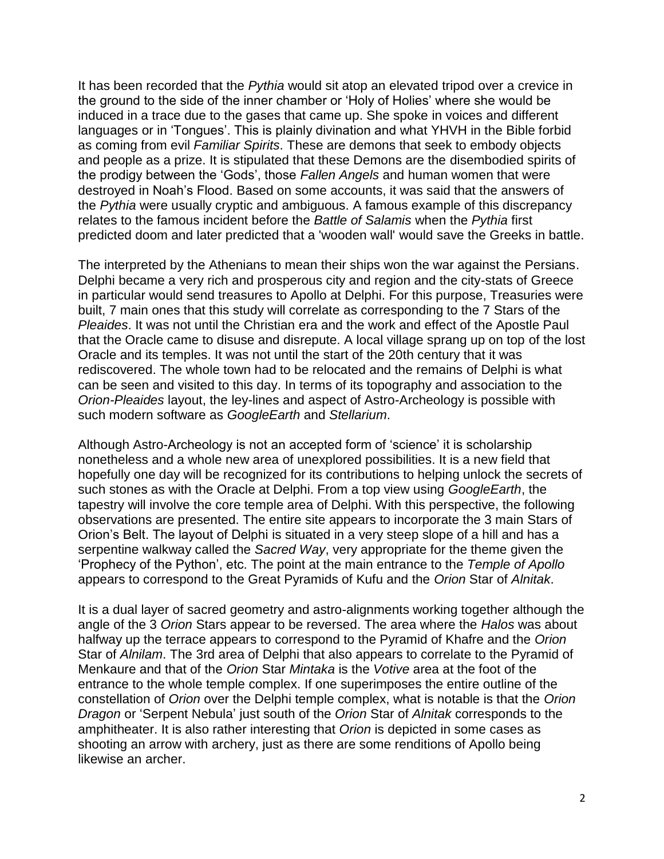It has been recorded that the *Pythia* would sit atop an elevated tripod over a crevice in the ground to the side of the inner chamber or 'Holy of Holies' where she would be induced in a trace due to the gases that came up. She spoke in voices and different languages or in 'Tongues'. This is plainly divination and what YHVH in the Bible forbid as coming from evil *Familiar Spirits*. These are demons that seek to embody objects and people as a prize. It is stipulated that these Demons are the disembodied spirits of the prodigy between the 'Gods', those *Fallen Angels* and human women that were destroyed in Noah's Flood. Based on some accounts, it was said that the answers of the *Pythia* were usually cryptic and ambiguous. A famous example of this discrepancy relates to the famous incident before the *Battle of Salamis* when the *Pythia* first predicted doom and later predicted that a 'wooden wall' would save the Greeks in battle.

The interpreted by the Athenians to mean their ships won the war against the Persians. Delphi became a very rich and prosperous city and region and the city-stats of Greece in particular would send treasures to Apollo at Delphi. For this purpose, Treasuries were built, 7 main ones that this study will correlate as corresponding to the 7 Stars of the *Pleaides*. It was not until the Christian era and the work and effect of the Apostle Paul that the Oracle came to disuse and disrepute. A local village sprang up on top of the lost Oracle and its temples. It was not until the start of the 20th century that it was rediscovered. The whole town had to be relocated and the remains of Delphi is what can be seen and visited to this day. In terms of its topography and association to the *Orion-Pleaides* layout, the ley-lines and aspect of Astro-Archeology is possible with such modern software as *GoogleEarth* and *Stellarium*.

Although Astro-Archeology is not an accepted form of 'science' it is scholarship nonetheless and a whole new area of unexplored possibilities. It is a new field that hopefully one day will be recognized for its contributions to helping unlock the secrets of such stones as with the Oracle at Delphi. From a top view using *GoogleEarth*, the tapestry will involve the core temple area of Delphi. With this perspective, the following observations are presented. The entire site appears to incorporate the 3 main Stars of Orion's Belt. The layout of Delphi is situated in a very steep slope of a hill and has a serpentine walkway called the *Sacred Way*, very appropriate for the theme given the 'Prophecy of the Python', etc. The point at the main entrance to the *Temple of Apollo* appears to correspond to the Great Pyramids of Kufu and the *Orion* Star of *Alnitak*.

It is a dual layer of sacred geometry and astro-alignments working together although the angle of the 3 *Orion* Stars appear to be reversed. The area where the *Halos* was about halfway up the terrace appears to correspond to the Pyramid of Khafre and the *Orion* Star of *Alnilam*. The 3rd area of Delphi that also appears to correlate to the Pyramid of Menkaure and that of the *Orion* Star *Mintaka* is the *Votive* area at the foot of the entrance to the whole temple complex. If one superimposes the entire outline of the constellation of *Orion* over the Delphi temple complex, what is notable is that the *Orion Dragon* or 'Serpent Nebula' just south of the *Orion* Star of *Alnitak* corresponds to the amphitheater. It is also rather interesting that *Orion* is depicted in some cases as shooting an arrow with archery, just as there are some renditions of Apollo being likewise an archer.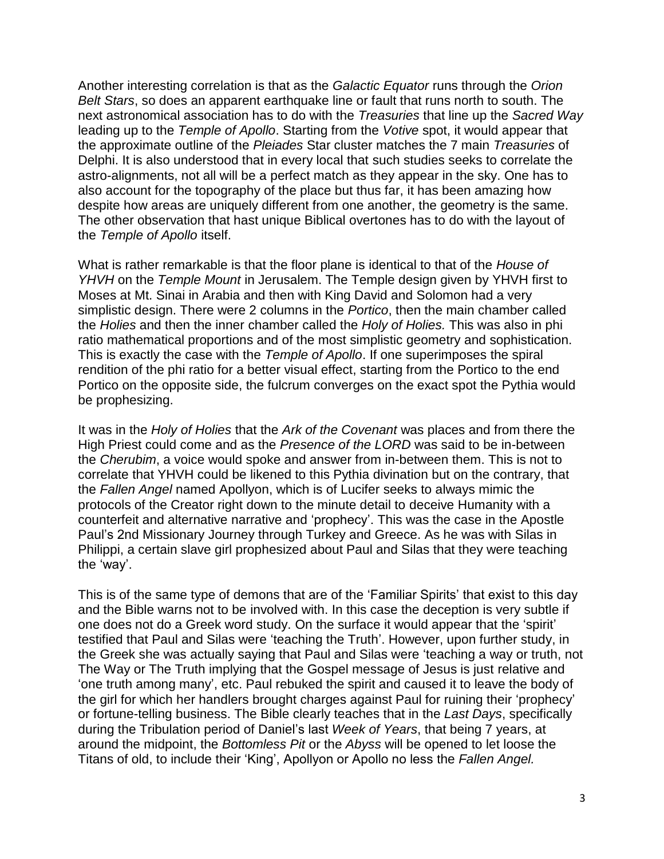Another interesting correlation is that as the *Galactic Equator* runs through the *Orion Belt Stars*, so does an apparent earthquake line or fault that runs north to south. The next astronomical association has to do with the *Treasuries* that line up the *Sacred Way* leading up to the *Temple of Apollo*. Starting from the *Votive* spot, it would appear that the approximate outline of the *Pleiades* Star cluster matches the 7 main *Treasuries* of Delphi. It is also understood that in every local that such studies seeks to correlate the astro-alignments, not all will be a perfect match as they appear in the sky. One has to also account for the topography of the place but thus far, it has been amazing how despite how areas are uniquely different from one another, the geometry is the same. The other observation that hast unique Biblical overtones has to do with the layout of the *Temple of Apollo* itself.

What is rather remarkable is that the floor plane is identical to that of the *House of YHVH* on the *Temple Mount* in Jerusalem. The Temple design given by YHVH first to Moses at Mt. Sinai in Arabia and then with King David and Solomon had a very simplistic design. There were 2 columns in the *Portico*, then the main chamber called the *Holies* and then the inner chamber called the *Holy of Holies.* This was also in phi ratio mathematical proportions and of the most simplistic geometry and sophistication. This is exactly the case with the *Temple of Apollo*. If one superimposes the spiral rendition of the phi ratio for a better visual effect, starting from the Portico to the end Portico on the opposite side, the fulcrum converges on the exact spot the Pythia would be prophesizing.

It was in the *Holy of Holies* that the *Ark of the Covenant* was places and from there the High Priest could come and as the *Presence of the LORD* was said to be in-between the *Cherubim*, a voice would spoke and answer from in-between them. This is not to correlate that YHVH could be likened to this Pythia divination but on the contrary, that the *Fallen Angel* named Apollyon, which is of Lucifer seeks to always mimic the protocols of the Creator right down to the minute detail to deceive Humanity with a counterfeit and alternative narrative and 'prophecy'. This was the case in the Apostle Paul's 2nd Missionary Journey through Turkey and Greece. As he was with Silas in Philippi, a certain slave girl prophesized about Paul and Silas that they were teaching the 'way'.

This is of the same type of demons that are of the 'Familiar Spirits' that exist to this day and the Bible warns not to be involved with. In this case the deception is very subtle if one does not do a Greek word study. On the surface it would appear that the 'spirit' testified that Paul and Silas were 'teaching the Truth'. However, upon further study, in the Greek she was actually saying that Paul and Silas were 'teaching a way or truth, not The Way or The Truth implying that the Gospel message of Jesus is just relative and 'one truth among many', etc. Paul rebuked the spirit and caused it to leave the body of the girl for which her handlers brought charges against Paul for ruining their 'prophecy' or fortune-telling business. The Bible clearly teaches that in the *Last Days*, specifically during the Tribulation period of Daniel's last *Week of Years*, that being 7 years, at around the midpoint, the *Bottomless Pit* or the *Abyss* will be opened to let loose the Titans of old, to include their 'King', Apollyon or Apollo no less the *Fallen Angel.*